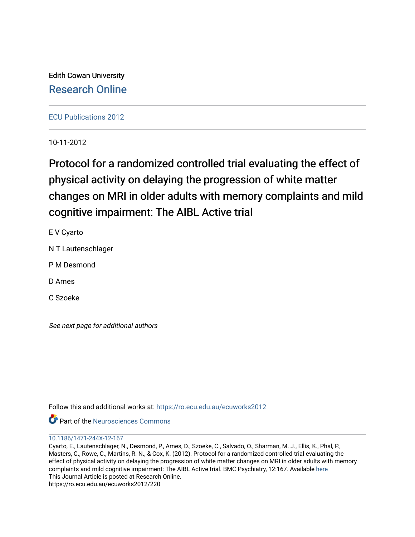Edith Cowan University [Research Online](https://ro.ecu.edu.au/) 

[ECU Publications 2012](https://ro.ecu.edu.au/ecuworks2012)

10-11-2012

Protocol for a randomized controlled trial evaluating the effect of physical activity on delaying the progression of white matter changes on MRI in older adults with memory complaints and mild cognitive impairment: The AIBL Active trial

E V Cyarto

N T Lautenschlager

P M Desmond

D Ames

C Szoeke

See next page for additional authors

Follow this and additional works at: [https://ro.ecu.edu.au/ecuworks2012](https://ro.ecu.edu.au/ecuworks2012?utm_source=ro.ecu.edu.au%2Fecuworks2012%2F220&utm_medium=PDF&utm_campaign=PDFCoverPages) 

**C** Part of the Neurosciences Commons

[10.1186/1471-244X-12-167](http://dx.doi.org/10.1186/1471-244X-12-167) 

Cyarto, E., Lautenschlager, N., Desmond, P., Ames, D., Szoeke, C., Salvado, O., Sharman, M. J., Ellis, K., Phal, P., Masters, C., Rowe, C., Martins, R. N., & Cox, K. (2012). Protocol for a randomized controlled trial evaluating the effect of physical activity on delaying the progression of white matter changes on MRI in older adults with memory complaints and mild cognitive impairment: The AIBL Active trial. BMC Psychiatry, 12:167. Available [here](http://dx.doi.org/10.1186/1471-244X-12-167)  This Journal Article is posted at Research Online. https://ro.ecu.edu.au/ecuworks2012/220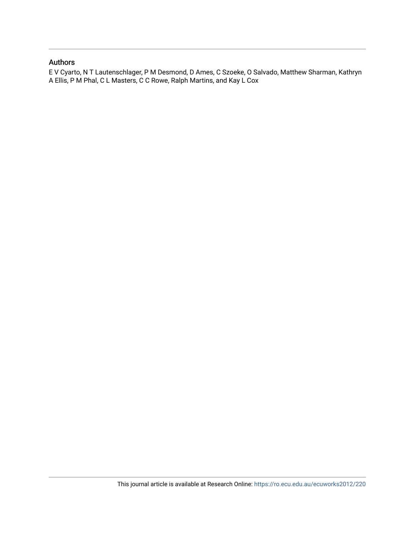## Authors

E V Cyarto, N T Lautenschlager, P M Desmond, D Ames, C Szoeke, O Salvado, Matthew Sharman, Kathryn A Ellis, P M Phal, C L Masters, C C Rowe, Ralph Martins, and Kay L Cox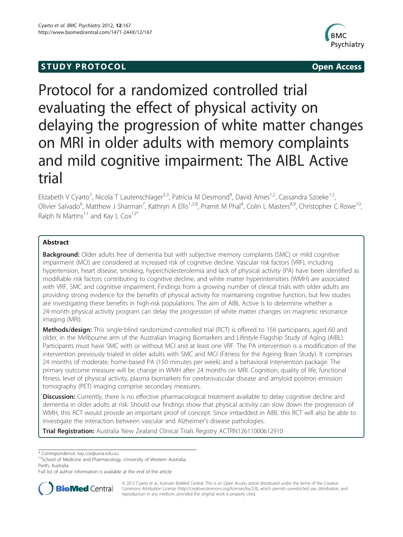## **STUDY PROTOCOL** And the set of the set of the set of the set of the set of the set of the set of the set of the set of the set of the set of the set of the set of the set of the set of the set of the set of the set of the



# Protocol for a randomized controlled trial evaluating the effect of physical activity on delaying the progression of white matter changes on MRI in older adults with memory complaints and mild cognitive impairment: The AIBL Active trial

Elizabeth V Cyarto<sup>1</sup>, Nicola T Lautenschlager<sup>2,3</sup>, Patricia M Desmond<sup>4</sup>, David Ames<sup>1,2</sup>, Cassandra Szoeke<sup>1,5</sup>, Olivier Salvado<sup>6</sup>, Matthew J Sharman<sup>7</sup>, Kathryn A Ellis<sup>1,2,8</sup>, Pramit M Phal<sup>4</sup>, Colin L Masters<sup>8,9</sup>, Christopher C Rowe<sup>10</sup>, Ralph N Martins<sup>11</sup> and Kay L  $Cox<sup>12*</sup>$ 

## Abstract

Background: Older adults free of dementia but with subjective memory complaints (SMC) or mild cognitive impairment (MCI) are considered at increased risk of cognitive decline. Vascular risk factors (VRF), including hypertension, heart disease, smoking, hypercholesterolemia and lack of physical activity (PA) have been identified as modifiable risk factors contributing to cognitive decline, and white matter hyperintensities (WMH) are associated with VRF, SMC and cognitive impairment. Findings from a growing number of clinical trials with older adults are providing strong evidence for the benefits of physical activity for maintaining cognitive function, but few studies are investigating these benefits in high-risk populations. The aim of AIBL Active is to determine whether a 24-month physical activity program can delay the progression of white matter changes on magnetic resonance imaging (MRI).

Methods/design: This single-blind randomized controlled trial (RCT) is offered to 156 participants, aged 60 and older, in the Melbourne arm of the Australian Imaging Biomarkers and Lifestyle Flagship Study of Aging (AIBL). Participants must have SMC with or without MCI and at least one VRF. The PA intervention is a modification of the intervention previously trialed in older adults with SMC and MCI (Fitness for the Ageing Brain Study). It comprises 24 months of moderate, home-based PA (150 minutes per week) and a behavioral intervention package. The primary outcome measure will be change in WMH after 24 months on MRI. Cognition, quality of life, functional fitness, level of physical activity, plasma biomarkers for cerebrovascular disease and amyloid positron emission tomography (PET) imaging comprise secondary measures.

Discussion: Currently, there is no effective pharmacological treatment available to delay cognitive decline and dementia in older adults at risk. Should our findings show that physical activity can slow down the progression of WMH, this RCT would provide an important proof of concept. Since imbedded in AIBL this RCT will also be able to investigate the interaction between vascular and Alzheimer's disease pathologies.

**Trial Registration:** Australia New Zealand Clinical Trials Registry ACTRN12611000612910

\* Correspondence: [kay.cox@uwa.edu.au](mailto:kay.cox@uwa.edu.au) 12School of Medicine and Pharmacology, University of Western Australia, Perth, Australia

Full list of author information is available at the end of the article



© 2012 Cyarto et al.; licensee BioMed Central. This is an Open Access article distributed under the terms of the Creative Commons Attribution License [\(http://creativecommons.org/licenses/by/2.0\)](http://creativecommons.org/licenses/by/2.0), which permits unrestricted use, distribution, and reproduction in any medium, provided the original work is properly cited.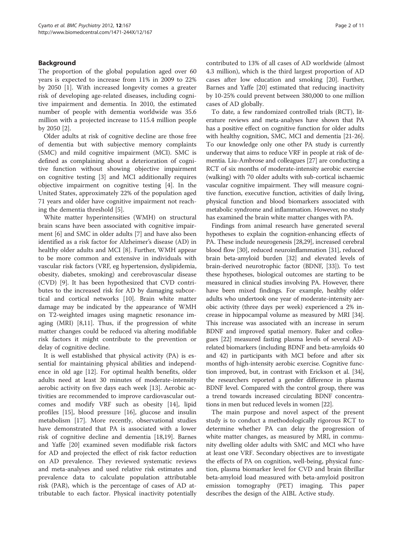## Background

The proportion of the global population aged over 60 years is expected to increase from 11% in 2009 to 22% by 2050 [\[1](#page-11-0)]. With increased longevity comes a greater risk of developing age-related diseases, including cognitive impairment and dementia. In 2010, the estimated number of people with dementia worldwide was 35.6 million with a projected increase to 115.4 million people by 2050 [[2\]](#page-11-0).

Older adults at risk of cognitive decline are those free of dementia but with subjective memory complaints (SMC) and mild cognitive impairment (MCI). SMC is defined as complaining about a deterioration of cognitive function without showing objective impairment on cognitive testing [[3\]](#page-11-0) and MCI additionally requires objective impairment on cognitive testing [\[4](#page-11-0)]. In the United States, approximately 22% of the population aged 71 years and older have cognitive impairment not reaching the dementia threshold [\[5](#page-11-0)].

White matter hyperintensities (WMH) on structural brain scans have been associated with cognitive impairment [[6\]](#page-11-0) and SMC in older adults [\[7\]](#page-11-0) and have also been identified as a risk factor for Alzheimer's disease (AD) in healthy older adults and MCI [[8\]](#page-11-0). Further, WMH appear to be more common and extensive in individuals with vascular risk factors (VRF, eg hypertension, dyslipidemia, obesity, diabetes, smoking) and cerebrovascular disease (CVD) [[9](#page-11-0)]. It has been hypothesized that CVD contributes to the increased risk for AD by damaging subcortical and cortical networks [\[10\]](#page-11-0). Brain white matter damage may be indicated by the appearance of WMH on T2-weighted images using magnetic resonance imaging (MRI) [\[8,11\]](#page-11-0). Thus, if the progression of white matter changes could be reduced via altering modifiable risk factors it might contribute to the prevention or delay of cognitive decline.

It is well established that physical activity (PA) is essential for maintaining physical abilities and independence in old age [\[12](#page-11-0)]. For optimal health benefits, older adults need at least 30 minutes of moderate-intensity aerobic activity on five days each week [\[13\]](#page-11-0). Aerobic activities are recommended to improve cardiovascular outcomes and modify VRF such as obesity [\[14](#page-11-0)], lipid profiles [\[15](#page-11-0)], blood pressure [[16\]](#page-11-0), glucose and insulin metabolism [[17\]](#page-11-0). More recently, observational studies have demonstrated that PA is associated with a lower risk of cognitive decline and dementia [[18,19\]](#page-11-0). Barnes and Yaffe [[20\]](#page-11-0) examined seven modifiable risk factors for AD and projected the effect of risk factor reduction on AD prevalence. They reviewed systematic reviews and meta-analyses and used relative risk estimates and prevalence data to calculate population attributable risk (PAR), which is the percentage of cases of AD attributable to each factor. Physical inactivity potentially

contributed to 13% of all cases of AD worldwide (almost 4.3 million), which is the third largest proportion of AD cases after low education and smoking [[20](#page-11-0)]. Further, Barnes and Yaffe [\[20\]](#page-11-0) estimated that reducing inactivity by 10-25% could prevent between 380,000 to one million cases of AD globally.

To date, a few randomized controlled trials (RCT), literature reviews and meta-analyses have shown that PA has a positive effect on cognitive function for older adults with healthy cognition, SMC, MCI and dementia [[21](#page-11-0)-[26](#page-11-0)]. To our knowledge only one other PA study is currently underway that aims to reduce VRF in people at risk of dementia. Liu-Ambrose and colleagues [\[27](#page-11-0)] are conducting a RCT of six months of moderate-intensity aerobic exercise (walking) with 70 older adults with sub-cortical ischaemic vascular cognitive impairment. They will measure cognitive function, executive function, activities of daily living, physical function and blood biomarkers associated with metabolic syndrome and inflammation. However, no study has examined the brain white matter changes with PA.

Findings from animal research have generated several hypotheses to explain the cognition-enhancing effects of PA. These include neurogenesis [\[28,29\]](#page-11-0), increased cerebral blood flow [\[30\]](#page-11-0), reduced neuroinflammation [[31\]](#page-11-0), reduced brain beta-amyloid burden [\[32\]](#page-11-0) and elevated levels of brain-derived neurotrophic factor (BDNF, [\[33\]](#page-11-0)). To test these hypotheses, biological outcomes are starting to be measured in clinical studies involving PA. However, there have been mixed findings. For example, healthy older adults who undertook one year of moderate-intensity aerobic activity (three days per week) experienced a 2% increase in hippocampal volume as measured by MRI [[34](#page-11-0)]. This increase was associated with an increase in serum BDNF and improved spatial memory. Baker and colleagues [[22](#page-11-0)] measured fasting plasma levels of several ADrelated biomarkers (including BDNF and beta-amyloids 40 and 42) in participants with MCI before and after six months of high-intensity aerobic exercise. Cognitive function improved, but, in contrast with Erickson et al. [[34](#page-11-0)], the researchers reported a gender difference in plasma BDNF level. Compared with the control group, there was a trend towards increased circulating BDNF concentrations in men but reduced levels in women [\[22\]](#page-11-0).

The main purpose and novel aspect of the present study is to conduct a methodologically rigorous RCT to determine whether PA can delay the progression of white matter changes, as measured by MRI, in community dwelling older adults with SMC and MCI who have at least one VRF. Secondary objectives are to investigate the effects of PA on cognition, well-being, physical function, plasma biomarker level for CVD and brain fibrillar beta-amyloid load measured with beta-amyloid positron emission tomography (PET) imaging. This paper describes the design of the AIBL Active study.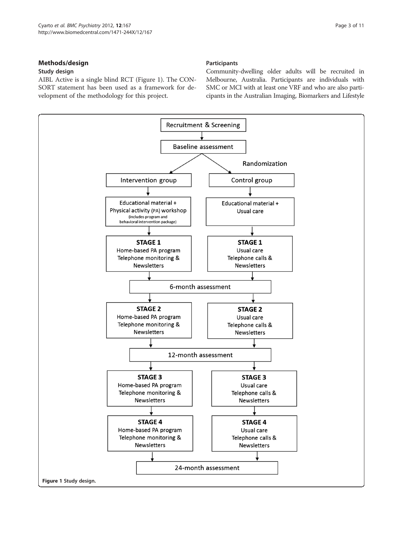## <span id="page-4-0"></span>Methods/design

### Study design

AIBL Active is a single blind RCT (Figure 1). The CON-SORT statement has been used as a framework for development of the methodology for this project.

## Participants

Community-dwelling older adults will be recruited in Melbourne, Australia. Participants are individuals with SMC or MCI with at least one VRF and who are also participants in the Australian Imaging, Biomarkers and Lifestyle

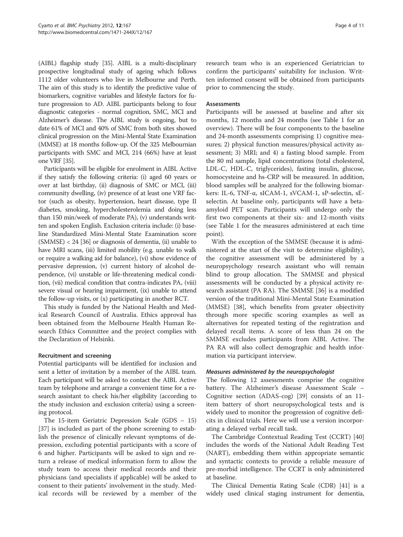(AIBL) flagship study [\[35\]](#page-11-0). AIBL is a multi-disciplinary prospective longitudinal study of ageing which follows 1112 older volunteers who live in Melbourne and Perth. The aim of this study is to identify the predictive value of biomarkers, cognitive variables and lifestyle factors for future progression to AD. AIBL participants belong to four diagnostic categories - normal cognition, SMC, MCI and Alzheimer's disease. The AIBL study is ongoing, but to date 61% of MCI and 40% of SMC from both sites showed clinical progression on the Mini-Mental State Examination (MMSE) at 18 months follow-up. Of the 325 Melbournian participants with SMC and MCI, 214 (66%) have at least one VRF [\[35\]](#page-11-0).

Participants will be eligible for enrolment in AIBL Active if they satisfy the following criteria: (i) aged 60 years or over at last birthday, (ii) diagnosis of SMC or MCI, (iii) community dwelling, (iv) presence of at least one VRF factor (such as obesity, hypertension, heart disease, type II diabetes, smoking, hypercholesterolemia and doing less than 150 min/week of moderate PA), (v) understands written and spoken English. Exclusion criteria include: (i) baseline Standardized Mini-Mental State Examination score (SMMSE) < 24 [[36](#page-12-0)] or diagnosis of dementia, (ii) unable to have MRI scans, (iii) limited mobility (e.g. unable to walk or require a walking aid for balance), (vi) show evidence of pervasive depression, (v) current history of alcohol dependence, (vi) unstable or life-threatening medical condition, (vii) medical condition that contra-indicates PA, (viii) severe visual or hearing impairment, (ix) unable to attend the follow-up visits, or (x) participating in another RCT.

This study is funded by the National Health and Medical Research Council of Australia. Ethics approval has been obtained from the Melbourne Health Human Research Ethics Committee and the project complies with the Declaration of Helsinki.

### Recruitment and screening

Potential participants will be identified for inclusion and sent a letter of invitation by a member of the AIBL team. Each participant will be asked to contact the AIBL Active team by telephone and arrange a convenient time for a research assistant to check his/her eligibility (according to the study inclusion and exclusion criteria) using a screening protocol.

The 15-item Geriatric Depression Scale (GDS – 15) [[37\]](#page-12-0) is included as part of the phone screening to establish the presence of clinically relevant symptoms of depression, excluding potential participants with a score of 6 and higher. Participants will be asked to sign and return a release of medical information form to allow the study team to access their medical records and their physicians (and specialists if applicable) will be asked to consent to their patients' involvement in the study. Medical records will be reviewed by a member of the research team who is an experienced Geriatrician to confirm the participants' suitability for inclusion. Written informed consent will be obtained from participants prior to commencing the study.

#### Assessments

Participants will be assessed at baseline and after six months, 12 months and 24 months (see Table [1](#page-6-0) for an overview). There will be four components to the baseline and 24-month assessments comprising 1) cognitive measures; 2) physical function measures/physical activity assessment; 3) MRI; and 4) a fasting blood sample. From the 80 ml sample, lipid concentrations (total cholesterol, LDL-C, HDL-C, triglycerides), fasting insulin, glucose, homocysteine and hs-CRP will be measured. In addition, blood samples will be analyzed for the following biomarkers: IL-6, TNF-α, sICAM-1, sVCAM-1, sP-selectin, sEselectin. At baseline only, participants will have a betaamyloid PET scan. Participants will undergo only the first two components at their six- and 12-month visits (see Table [1](#page-6-0) for the measures administered at each time point).

With the exception of the SMMSE (because it is administered at the start of the visit to determine eligibility), the cognitive assessment will be administered by a neuropsychology research assistant who will remain blind to group allocation. The SMMSE and physical assessments will be conducted by a physical activity research assistant (PA RA). The SMMSE [[36\]](#page-12-0) is a modified version of the traditional Mini-Mental State Examination (MMSE) [[38](#page-12-0)], which benefits from greater objectivity through more specific scoring examples as well as alternatives for repeated testing of the registration and delayed recall items. A score of less than 24 on the SMMSE excludes participants from AIBL Active. The PA RA will also collect demographic and health information via participant interview.

### Measures administered by the neuropsychologist

The following 12 assessments comprise the cognitive battery. The Alzheimer's disease Assessment Scale – Cognitive section (ADAS-cog) [[39\]](#page-12-0) consists of an 11 item battery of short neuropsychological tests and is widely used to monitor the progression of cognitive deficits in clinical trials. Here we will use a version incorporating a delayed verbal recall task.

The Cambridge Contextual Reading Test (CCRT) [[40](#page-12-0)] includes the words of the National Adult Reading Test (NART), embedding them within appropriate semantic and syntactic contexts to provide a reliable measure of pre-morbid intelligence. The CCRT is only administered at baseline.

The Clinical Dementia Rating Scale (CDR) [[41](#page-12-0)] is a widely used clinical staging instrument for dementia,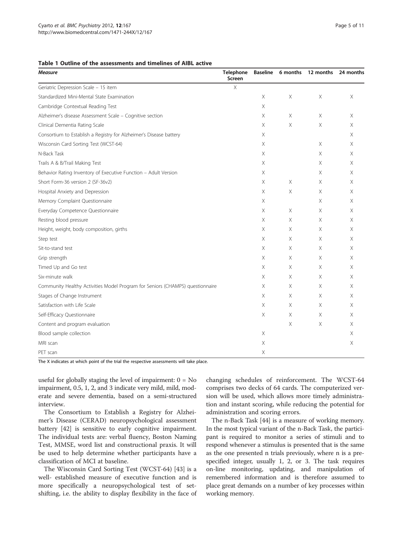#### <span id="page-6-0"></span>Table 1 Outline of the assessments and timelines of AIBL active

| <b>Measure</b>                                                                | <b>Telephone</b><br>Screen | <b>Baseline</b> | 6 months | 12 months | 24 months |
|-------------------------------------------------------------------------------|----------------------------|-----------------|----------|-----------|-----------|
| Geriatric Depression Scale - 15 item                                          | X                          |                 |          |           |           |
| Standardized Mini-Mental State Examination                                    |                            | X               | X        | X         | X         |
| Cambridge Contextual Reading Test                                             |                            | $\times$        |          |           |           |
| Alzheimer's disease Assessment Scale - Cognitive section                      |                            | X               | X        | X         | X         |
| Clinical Dementia Rating Scale                                                |                            | X               | Χ        | X         | X         |
| Consortium to Establish a Registry for Alzheimer's Disease battery            |                            | X               |          |           | X         |
| Wisconsin Card Sorting Test (WCST-64)                                         |                            | X               |          | X         | X         |
| N-Back Task                                                                   |                            | $\times$        |          | X         | Χ         |
| Trails A & B/Trail Making Test                                                |                            | X               |          | X         | X         |
| Behavior Rating Inventory of Executive Function - Adult Version               |                            | Χ               |          | X         | X         |
| Short Form-36 version 2 (SF-36v2)                                             |                            | $\times$        | Χ        | Χ         | X         |
| Hospital Anxiety and Depression                                               |                            | $\times$        | Χ        | X         | X         |
| Memory Complaint Questionnaire                                                |                            | Χ               |          | Χ         | X         |
| Everyday Competence Questionnaire                                             |                            | Χ               | X        | X         | X         |
| Resting blood pressure                                                        |                            | X               | X        | X         | X         |
| Height, weight, body composition, girths                                      |                            | $\mathsf X$     | Χ        | Χ         | X         |
| Step test                                                                     |                            | X               | X        | X         | X         |
| Sit-to-stand test                                                             |                            | X               | X        | X         | X         |
| Grip strength                                                                 |                            | Χ               | Χ        | Χ         | Χ         |
| Timed Up and Go test                                                          |                            | X               | X        | X         | X         |
| Six-minute walk                                                               |                            | X               | X        | X         | X         |
| Community Healthy Activities Model Program for Seniors (CHAMPS) questionnaire |                            | Χ               | X        | X         | X         |
| Stages of Change Instrument                                                   |                            | X               | X        | X         | X         |
| Satisfaction with Life Scale                                                  |                            | X               | X        | X         | X         |
| Self-Efficacy Questionnaire                                                   |                            | $\mathsf X$     | Χ        | Χ         | X         |
| Content and program evaluation                                                |                            |                 | X        | X         | X         |
| Blood sample collection                                                       |                            | $\times$        |          |           | X         |
| MRI scan                                                                      |                            | $\mathsf X$     |          |           | Χ         |
| PET scan                                                                      |                            | $\times$        |          |           |           |

The X indicates at which point of the trial the respective assessments will take place.

useful for globally staging the level of impairment:  $0 = No$ impairment, 0.5, 1, 2, and 3 indicate very mild, mild, moderate and severe dementia, based on a semi-structured interview.

The Consortium to Establish a Registry for Alzheimer's Disease (CERAD) neuropsychological assessment battery [\[42\]](#page-12-0) is sensitive to early cognitive impairment. The individual tests are: verbal fluency, Boston Naming Test, MMSE, word list and constructional praxis. It will be used to help determine whether participants have a classification of MCI at baseline.

The Wisconsin Card Sorting Test (WCST-64) [[43](#page-12-0)] is a well- established measure of executive function and is more specifically a neuropsychological test of setshifting, i.e. the ability to display flexibility in the face of

changing schedules of reinforcement. The WCST-64 comprises two decks of 64 cards. The computerized version will be used, which allows more timely administration and instant scoring, while reducing the potential for administration and scoring errors.

The n-Back Task [\[44\]](#page-12-0) is a measure of working memory. In the most typical variant of the n-Back Task, the participant is required to monitor a series of stimuli and to respond whenever a stimulus is presented that is the same as the one presented n trials previously, where n is a prespecified integer, usually 1, 2, or 3. The task requires on-line monitoring, updating, and manipulation of remembered information and is therefore assumed to place great demands on a number of key processes within working memory.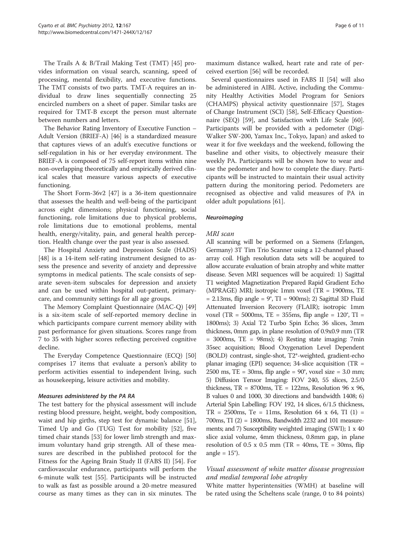The Trails A & B/Trail Making Test (TMT) [\[45](#page-12-0)] provides information on visual search, scanning, speed of processing, mental flexibility, and executive functions. The TMT consists of two parts. TMT-A requires an individual to draw lines sequentially connecting 25 encircled numbers on a sheet of paper. Similar tasks are required for TMT-B except the person must alternate between numbers and letters.

The Behavior Rating Inventory of Executive Function – Adult Version (BRIEF-A) [\[46\]](#page-12-0) is a standardized measure that captures views of an adult's executive functions or self-regulation in his or her everyday environment. The BRIEF-A is composed of 75 self-report items within nine non-overlapping theoretically and empirically derived clinical scales that measure various aspects of executive functioning.

The Short Form-36v2 [\[47](#page-12-0)] is a 36-item questionnaire that assesses the health and well-being of the participant across eight dimensions; physical functioning, social functioning, role limitations due to physical problems, role limitations due to emotional problems, mental health, energy/vitality, pain, and general health perception. Health change over the past year is also assessed.

The Hospital Anxiety and Depression Scale (HADS) [[48\]](#page-12-0) is a 14-item self-rating instrument designed to assess the presence and severity of anxiety and depressive symptoms in medical patients. The scale consists of separate seven-item subscales for depression and anxiety and can be used within hospital out-patient, primarycare, and community settings for all age groups.

The Memory Complaint Questionnaire (MAC-Q) [[49](#page-12-0)] is a six-item scale of self-reported memory decline in which participants compare current memory ability with past performance for given situations. Scores range from 7 to 35 with higher scores reflecting perceived cognitive decline.

The Everyday Competence Questionnaire (ECQ) [[50](#page-12-0)] comprises 17 items that evaluate a person's ability to perform activities essential to independent living, such as housekeeping, leisure activities and mobility.

### Measures administered by the PA RA

The test battery for the physical assessment will include resting blood pressure, height, weight, body composition, waist and hip girths, step test for dynamic balance [\[51](#page-12-0)], Timed Up and Go (TUG) Test for mobility [\[52](#page-12-0)], five timed chair stands [\[53\]](#page-12-0) for lower limb strength and maximum voluntary hand grip strength. All of these measures are described in the published protocol for the Fitness for the Ageing Brain Study II (FABS II) [\[54\]](#page-12-0). For cardiovascular endurance, participants will perform the 6-minute walk test [\[55\]](#page-12-0). Participants will be instructed to walk as fast as possible around a 20-metre measured course as many times as they can in six minutes. The

maximum distance walked, heart rate and rate of perceived exertion [[56\]](#page-12-0) will be recorded.

Several questionnaires used in FABS II [\[54](#page-12-0)] will also be administered in AIBL Active, including the Community Healthy Activities Model Program for Seniors (CHAMPS) physical activity questionnaire [[57\]](#page-12-0), Stages of Change Instrument (SCI) [\[58](#page-12-0)], Self-Efficacy Questionnaire (SEQ) [[59\]](#page-12-0), and Satisfaction with Life Scale [\[60](#page-12-0)]. Participants will be provided with a pedometer (Digi-Walker SW-200, Yamax Inc., Tokyo, Japan) and asked to wear it for five weekdays and the weekend, following the baseline and other visits, to objectively measure their weekly PA. Participants will be shown how to wear and use the pedometer and how to complete the diary. Participants will be instructed to maintain their usual activity pattern during the monitoring period. Pedometers are recognised as objective and valid measures of PA in older adult populations [\[61](#page-12-0)].

#### Neuroimaging

#### MRI scan

All scanning will be performed on a Siemens (Erlangen, Germany) 3T Tim Trio Scanner using a 12-channel phased array coil. High resolution data sets will be acquired to allow accurate evaluation of brain atrophy and white matter disease. Seven MRI sequences will be acquired: 1) Sagittal T1 weighted Magnetization Prepared Rapid Gradient Echo (MPRAGE) MRI; isotropic 1mm voxel (TR = 1900ms, TE  $= 2.13$ ms, flip angle  $= 9^\circ$ , TI  $= 900$ ms); 2) Sagittal 3D Fluid Attenuated Inversion Recovery (FLAIR); isotropic 1mm voxel (TR = 5000ms, TE = 355ms, flip angle =  $120^{\circ}$ , TI = 1800ms); 3) Axial T2 Turbo Spin Echo; 36 slices, 3mm thickness, 0mm gap, in plane resolution of 0.9x0.9 mm (TR  $= 3000 \text{ms}$ , TE  $= 98 \text{ms}$ ; 4) Resting state imaging: 7min 35sec acquisition; Blood Oxygenation Level Dependent (BOLD) contrast, single-shot, T2\*-weighted, gradient-echo planar imaging (EPI) sequence; 34-slice acquisition (TR = 2500 ms, TE = 30ms, flip angle =  $90^{\circ}$ , voxel size = 3.0 mm; 5) Diffusion Tensor Imaging: FOV 240, 55 slices, 2.5/0 thickness,  $TR = 8700$ ms,  $TE = 122$ ms, Resolution 96 x 96, B values 0 and 1000, 30 directions and bandwidth 1408; 6) Arterial Spin Labelling: FOV 192, 14 slices, 6/1.5 thickness,  $TR = 2500$ ms, Te = 11ms, Resolution 64 x 64, TI (1) = 700ms, TI (2) = 1800ms, Bandwidth 2232 and 101 measurements; and 7) Susceptibility weighted imaging (SWI); 1 x 40 slice axial volume, 4mm thickness, 0.8mm gap, in plane resolution of  $0.5 \times 0.5$  mm (TR = 40ms, TE = 30ms, flip angle  $= 15^{\circ}$ ).

## Visual assessment of white matter disease progression and medial temporal lobe atrophy

White matter hyperintensities (WMH) at baseline will be rated using the Scheltens scale (range, 0 to 84 points)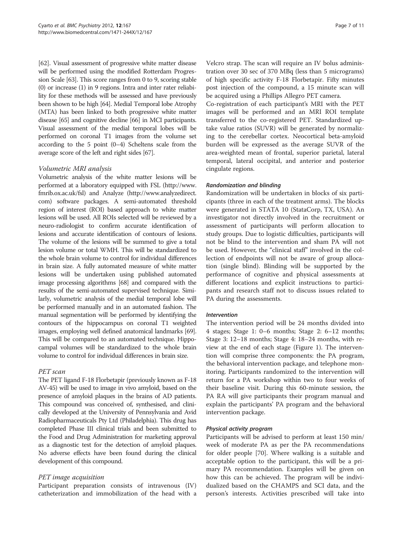[[62\]](#page-12-0). Visual assessment of progressive white matter disease will be performed using the modified Rotterdam Progression Scale [\[63](#page-12-0)]. This score ranges from 0 to 9, scoring stable (0) or increase (1) in 9 regions. Intra and inter rater reliability for these methods will be assessed and have previously been shown to be high [\[64](#page-12-0)]. Medial Temporal lobe Atrophy (MTA) has been linked to both progressive white matter disease [\[65](#page-12-0)] and cognitive decline [\[66](#page-12-0)] in MCI participants. Visual assessment of the medial temporal lobes will be performed on coronal T1 images from the volume set according to the 5 point (0–4) Scheltens scale from the average score of the left and right sides [\[67\]](#page-12-0).

## Volumetric MRI analysis

Volumetric analysis of the white matter lesions will be performed at a laboratory equipped with FSL ([http://www.](http://www.fmrib.ox.ac.uk/fsl) [fmrib.ox.ac.uk/fsl\)](http://www.fmrib.ox.ac.uk/fsl) and Analyze ([http://www.analyzedirect.](http://www.analyzedirect.com) [com\)](http://www.analyzedirect.com) software packages. A semi-automated threshold region of interest (ROI) based approach to white matter lesions will be used. All ROIs selected will be reviewed by a neuro-radiologist to confirm accurate identification of lesions and accurate identification of contours of lesions. The volume of the lesions will be summed to give a total lesion volume or total WMH. This will be standardized to the whole brain volume to control for individual differences in brain size. A fully automated measure of white matter lesions will be undertaken using published automated image processing algorithms [\[68\]](#page-12-0) and compared with the results of the semi-automated supervised technique. Similarly, volumetric analysis of the medial temporal lobe will be performed manually and in an automated fashion. The manual segmentation will be performed by identifying the contours of the hippocampus on coronal T1 weighted images, employing well defined anatomical landmarks [\[69](#page-12-0)]. This will be compared to an automated technique. Hippocampal volumes will be standardized to the whole brain volume to control for individual differences in brain size.

### PET scan

The PET ligand F-18 Florbetapir (previously known as F-18 AV-45) will be used to image in vivo amyloid, based on the presence of amyloid plaques in the brains of AD patients. This compound was conceived of, synthesised, and clinically developed at the University of Pennsylvania and Avid Radiopharmaceuticals Pty Ltd (Philadelphia). This drug has completed Phase III clinical trials and been submitted to the Food and Drug Administration for marketing approval as a diagnostic test for the detection of amyloid plaques. No adverse effects have been found during the clinical development of this compound.

### PET image acquisition

Participant preparation consists of intravenous (IV) catheterization and immobilization of the head with a

Velcro strap. The scan will require an IV bolus administration over 30 sec of 370 MBq (less than 5 micrograms) of high specific activity F-18 Florbetapir. Fifty minutes post injection of the compound, a 15 minute scan will be acquired using a Phillips Allegro PET camera.

Co-registration of each participant's MRI with the PET images will be performed and an MRI ROI template transferred to the co-registered PET. Standardized uptake value ratios (SUVR) will be generated by normalizing to the cerebellar cortex. Neocortical beta-amyloid burden will be expressed as the average SUVR of the area-weighted mean of frontal, superior parietal, lateral temporal, lateral occipital, and anterior and posterior cingulate regions.

### Randomization and blinding

Randomization will be undertaken in blocks of six participants (three in each of the treatment arms). The blocks were generated in STATA 10 (StataCorp, TX, USA). An investigator not directly involved in the recruitment or assessment of participants will perform allocation to study groups. Due to logistic difficulties, participants will not be blind to the intervention and sham PA will not be used. However, the "clinical staff" involved in the collection of endpoints will not be aware of group allocation (single blind). Blinding will be supported by the performance of cognitive and physical assessments at different locations and explicit instructions to participants and research staff not to discuss issues related to PA during the assessments.

### Intervention

The intervention period will be 24 months divided into 4 stages; Stage 1: 0–6 months; Stage 2: 6–12 months; Stage 3: 12–18 months; Stage 4: 18–24 months, with review at the end of each stage (Figure [1\)](#page-4-0). The intervention will comprise three components: the PA program, the behavioral intervention package, and telephone monitoring. Participants randomized to the intervention will return for a PA workshop within two to four weeks of their baseline visit. During this 60-minute session, the PA RA will give participants their program manual and explain the participants' PA program and the behavioral intervention package.

### Physical activity program

Participants will be advised to perform at least 150 min/ week of moderate PA as per the PA recommendations for older people [[70\]](#page-12-0). Where walking is a suitable and acceptable option to the participant, this will be a primary PA recommendation. Examples will be given on how this can be achieved. The program will be individualized based on the CHAMPS and SCI data, and the person's interests. Activities prescribed will take into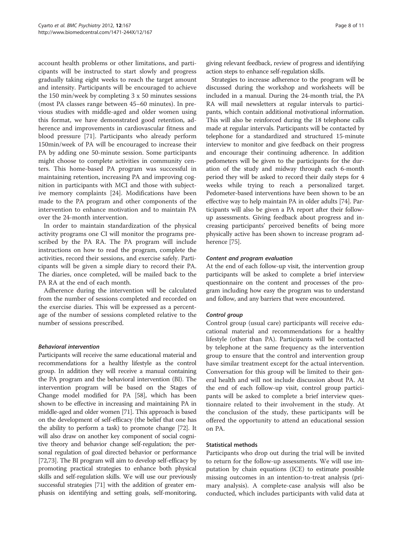account health problems or other limitations, and participants will be instructed to start slowly and progress gradually taking eight weeks to reach the target amount and intensity. Participants will be encouraged to achieve the 150 min/week by completing 3 x 50 minutes sessions (most PA classes range between 45–60 minutes). In previous studies with middle-aged and older women using this format, we have demonstrated good retention, adherence and improvements in cardiovascular fitness and blood pressure [\[71](#page-12-0)]. Participants who already perform 150min/week of PA will be encouraged to increase their PA by adding one 50-minute session. Some participants might choose to complete activities in community centers. This home-based PA program was successful in maintaining retention, increasing PA and improving cognition in participants with MCI and those with subjective memory complaints [[24\]](#page-11-0). Modifications have been made to the PA program and other components of the intervention to enhance motivation and to maintain PA over the 24-month intervention.

In order to maintain standardization of the physical activity programs one CI will monitor the programs prescribed by the PA RA. The PA program will include instructions on how to read the program, complete the activities, record their sessions, and exercise safely. Participants will be given a simple diary to record their PA. The diaries, once completed, will be mailed back to the PA RA at the end of each month.

Adherence during the intervention will be calculated from the number of sessions completed and recorded on the exercise diaries. This will be expressed as a percentage of the number of sessions completed relative to the number of sessions prescribed.

#### Behavioral intervention

Participants will receive the same educational material and recommendations for a healthy lifestyle as the control group. In addition they will receive a manual containing the PA program and the behavioral intervention (BI). The intervention program will be based on the Stages of Change model modified for PA [\[58\]](#page-12-0), which has been shown to be effective in increasing and maintaining PA in middle-aged and older women [\[71\]](#page-12-0). This approach is based on the development of self-efficacy (the belief that one has the ability to perform a task) to promote change [[72](#page-12-0)]. It will also draw on another key component of social cognitive theory and behavior change self-regulation; the personal regulation of goal directed behavior or performance [[72,73\]](#page-12-0). The BI program will aim to develop self-efficacy by promoting practical strategies to enhance both physical skills and self-regulation skills. We will use our previously successful strategies [[71](#page-12-0)] with the addition of greater emphasis on identifying and setting goals, self-monitoring,

giving relevant feedback, review of progress and identifying action steps to enhance self-regulation skills.

Strategies to increase adherence to the program will be discussed during the workshop and worksheets will be included in a manual. During the 24-month trial, the PA RA will mail newsletters at regular intervals to participants, which contain additional motivational information. This will also be reinforced during the 18 telephone calls made at regular intervals. Participants will be contacted by telephone for a standardized and structured 15-minute interview to monitor and give feedback on their progress and encourage their continuing adherence. In addition pedometers will be given to the participants for the duration of the study and midway through each 6-month period they will be asked to record their daily steps for 4 weeks while trying to reach a personalized target. Pedometer-based interventions have been shown to be an effective way to help maintain PA in older adults [[74](#page-12-0)]. Participants will also be given a PA report after their followup assessments. Giving feedback about progress and increasing participants' perceived benefits of being more physically active has been shown to increase program adherence [[75](#page-12-0)].

#### Content and program evaluation

At the end of each follow-up visit, the intervention group participants will be asked to complete a brief interview questionnaire on the content and processes of the program including how easy the program was to understand and follow, and any barriers that were encountered.

### Control group

Control group (usual care) participants will receive educational material and recommendations for a healthy lifestyle (other than PA). Participants will be contacted by telephone at the same frequency as the intervention group to ensure that the control and intervention group have similar treatment except for the actual intervention. Conversation for this group will be limited to their general health and will not include discussion about PA. At the end of each follow-up visit, control group participants will be asked to complete a brief interview questionnaire related to their involvement in the study. At the conclusion of the study, these participants will be offered the opportunity to attend an educational session on PA.

#### Statistical methods

Participants who drop out during the trial will be invited to return for the follow-up assessments. We will use imputation by chain equations (ICE) to estimate possible missing outcomes in an intention-to-treat analysis (primary analysis). A complete-case analysis will also be conducted, which includes participants with valid data at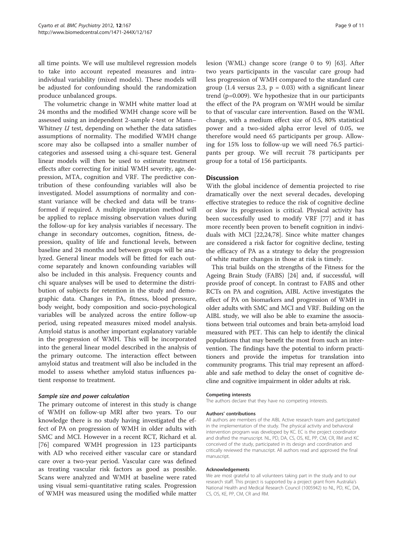all time points. We will use multilevel regression models to take into account repeated measures and intraindividual variability (mixed models). These models will be adjusted for confounding should the randomization produce unbalanced groups.

The volumetric change in WMH white matter load at 24 months and the modified WMH change score will be assessed using an independent 2-sample t-test or Mann– Whitney  $U$  test, depending on whether the data satisfies assumptions of normality. The modified WMH change score may also be collapsed into a smaller number of categories and assessed using a chi-square test. General linear models will then be used to estimate treatment effects after correcting for initial WMH severity, age, depression, MTA, cognition and VRF. The predictive contribution of these confounding variables will also be investigated. Model assumptions of normality and constant variance will be checked and data will be transformed if required. A multiple imputation method will be applied to replace missing observation values during the follow-up for key analysis variables if necessary. The change in secondary outcomes, cognition, fitness, depression, quality of life and functional levels, between baseline and 24 months and between groups will be analyzed. General linear models will be fitted for each outcome separately and known confounding variables will also be included in this analysis. Frequency counts and chi square analyses will be used to determine the distribution of subjects for retention in the study and demographic data. Changes in PA, fitness, blood pressure, body weight, body composition and socio-psychological variables will be analyzed across the entire follow-up period, using repeated measures mixed model analysis. Amyloid status is another important explanatory variable in the progression of WMH. This will be incorporated into the general linear model described in the analysis of the primary outcome. The interaction effect between amyloid status and treatment will also be included in the model to assess whether amyloid status influences patient response to treatment.

#### Sample size and power calculation

The primary outcome of interest in this study is change of WMH on follow-up MRI after two years. To our knowledge there is no study having investigated the effect of PA on progression of WMH in older adults with SMC and MCI. However in a recent RCT, Richard et al. [[76\]](#page-12-0) compared WMH progression in 123 participants with AD who received either vascular care or standard care over a two-year period. Vascular care was defined as treating vascular risk factors as good as possible. Scans were analyzed and WMH at baseline were rated using visual semi-quantitative rating scales. Progression of WMH was measured using the modified while matter lesion (WML) change score (range 0 to 9) [[63](#page-12-0)]. After two years participants in the vascular care group had less progression of WMH compared to the standard care group (1.4 versus 2.3,  $p = 0.03$ ) with a significant linear trend (p=0.009). We hypothesize that in our participants the effect of the PA program on WMH would be similar to that of vascular care intervention. Based on the WML change, with a medium effect size of 0.5, 80% statistical power and a two-sided alpha error level of 0.05, we therefore would need 65 participants per group. Allowing for 15% loss to follow-up we will need 76.5 participants per group. We will recruit 78 participants per group for a total of 156 participants.

#### **Discussion**

With the global incidence of dementia projected to rise dramatically over the next several decades, developing effective strategies to reduce the risk of cognitive decline or slow its progression is critical. Physical activity has been successfully used to modify VRF [[77\]](#page-12-0) and it has more recently been proven to benefit cognition in individuals with MCI [[22,24,](#page-11-0)[78\]](#page-12-0). Since white matter changes are considered a risk factor for cognitive decline, testing the efficacy of PA as a strategy to delay the progression of white matter changes in those at risk is timely.

This trial builds on the strengths of the Fitness for the Ageing Brain Study (FABS) [\[24\]](#page-11-0) and, if successful, will provide proof of concept. In contrast to FABS and other RCTs on PA and cognition, AIBL Active investigates the effect of PA on biomarkers and progression of WMH in older adults with SMC and MCI and VRF. Building on the AIBL study, we will also be able to examine the associations between trial outcomes and brain beta-amyloid load measured with PET. This can help to identify the clinical populations that may benefit the most from such an intervention. The findings have the potential to inform practitioners and provide the impetus for translation into community programs. This trial may represent an affordable and safe method to delay the onset of cognitive decline and cognitive impairment in older adults at risk.

#### Competing interests

The authors declare that they have no competing interests.

#### Authors' contributions

All authors are members of the AIBL Active research team and participated in the implementation of the study. The physical activity and behavioral intervention program was developed by KC. EC is the project coordinator and drafted the manuscript. NL, PD, DA, CS, OS, KE, PP, CM, CR, RM and KC conceived of the study, participated in its design and coordination and critically reviewed the manuscript. All authors read and approved the final manuscript.

#### Acknowledgements

We are most grateful to all volunteers taking part in the study and to our research staff. This project is supported by a project grant from Australia's National Health and Medical Research Council (1005942) to NL, PD, KC, DA, CS, OS, KE, PP, CM, CR and RM.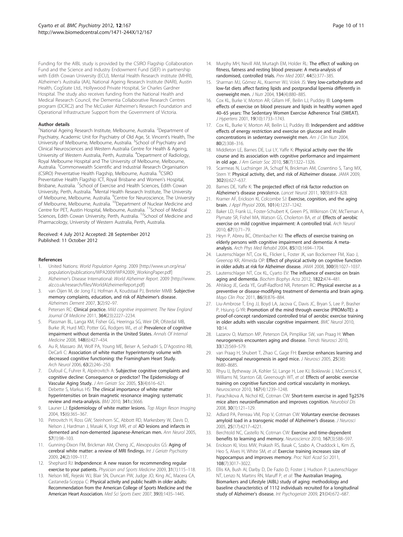<span id="page-11-0"></span>Funding for the AIBL study is provided by the CSIRO Flagship Collaboration Fund and the Science and Industry Endowment Fund (SIEF) in partnership with Edith Cowan University (ECU), Mental Health Research institute (MHRI), Alzheimer's Australia (AA), National Ageing Research Institute (NARI), Austin Health, CogState Ltd., Hollywood Private Hospital, Sir Charles Gardner Hospital. The study also receives funding from the National Health and Medical Research Council, the Dementia Collaborative Research Centres program (DCRC2) and The McCusker Alzheimer's Research Foundation and Operational Infrastructure Support from the Government of Victoria.

#### Author details

<sup>1</sup>National Ageing Research Institute, Melbourne, Australia. <sup>2</sup>Department of Psychiatry, Academic Unit for Psychiatry of Old Age, St. Vincent's Health, The University of Melbourne, Melbourne, Australia. <sup>3</sup>School of Psychiatry and Clinical Neurosciences and Western Australia Centre for Health & Ageing, University of Western Australia, Perth, Australia. <sup>4</sup>Department of Radiology, Royal Melbourne Hospital and The University of Melbourne, Melbourne, Australia. <sup>5</sup> Commonwealth Scientific and Industrial Research Organisation (CSIRO) Preventative Health Flagship, Melbourne, Australia. <sup>6</sup>CSIRO Preventative Health Flagship ICT, Royal Brisbane and Women's Hospital, Brisbane, Australia. <sup>7</sup> School of Exercise and Health Sciences, Edith Cowan University, Perth, Australia. <sup>8</sup>Mental Health Research Institute, The University of Melbourne, Melbourne, Australia. <sup>9</sup>Centre for Neuroscience, The University<br>of Melbourne, Melbourne, Australia. <sup>10</sup>Department of Nuclear Medicine and Centre for PET, Austin Hospital, Melbourne, Australia. <sup>11</sup>School of Medical Sciences, Edith Cowan University, Perth, Australia. <sup>12</sup>School of Medicine and Pharmacology, University of Western Australia, Perth, Australia.

#### Received: 4 July 2012 Accepted: 28 September 2012 Published: 11 October 2012

#### References

- 1. United Nations: World Population Ageing. 2009 [\[http://www.un.org/esa/](http://www.un.org/esa/population/publications/WPA2009/WPA2009_WorkingPaper.pdf) [population/publications/WPA2009/WPA2009\\_WorkingPaper.pdf\]](http://www.un.org/esa/population/publications/WPA2009/WPA2009_WorkingPaper.pdf)
- 2. Alzheimer's Disease International: World Alzheimer Report. 2009 [\[http://www.](http://www.alz.co.uk/research/files/WorldAlzheimerReport.pdf) [alz.co.uk/research/files/WorldAlzheimerReport.pdf\]](http://www.alz.co.uk/research/files/WorldAlzheimerReport.pdf)
- 3. van Oijen M, de Jong FJ, Hofman A, Koudstaal PJ, Breteler MMB: Subjective memory complaints, education, and risk of Alzheimer's disease. Alzheimers Dement 2007, 3(2):92–97.
- 4. Petersen RC: Clinical practice. Mild cognitive impairment. The New England Journal Of Medicine 2011, 364(23):2227–2234.
- Plassman BL, Langa KM, Fisher GG, Heeringa SG, Weir DR, Ofstedal MB, Burke JR, Hurd MD, Potter GG, Rodgers WL, et al: Prevalence of cognitive impairment without dementia in the United States. Annals Of Internal Medicine 2008, 148(6):427–434.
- 6. Au R, Massaro JM, Wolf PA, Young ME, Beiser A, Seshadri S, D'Agostino RB, DeCarli C: Association of white matter hyperintensity volume with decreased cognitive functioning: the Framingham Heart Study. Arch Neurol 2006, 63(2):246–250.
- 7. Dufouil C, Fuhrer R, Alpérovitch A: Subjective cognitive complaints and cognitive decline: Consequence or predictor? The Epidemiology of Vascular Aging Study. J Am Geriatr Soc 2005, 53(4):616–621.
- Debette S, Markus HS: The clinical importance of white matter hyperintensities on brain magnetic resonance imaging: systematic review and meta-analysis. BMJ 2010, 341:c3666.
- 9. Launer LJ: Epidemiology of white matter lesions. Top Magn Reson Imaging 2004, 15(6):365–367.
- 10. Petrovitch H, Ross GW, Steinhorn SC, Abbott RD, Markesbery W, Davis D, Nelson J, Hardman J, Masaki K, Vogt MR, et al: AD lesions and infarcts in demented and non-demented Japanese-American men. Ann Neurol 2005, 57(1):98–103.
- 11. Gunning-Dixon FM, Brickman AM, Cheng JC, Alexopoulos GS: Aging of cerebral white matter: a review of MRI findings. Int J Geriatr Psychiatry 2009, 24(2):109–117.
- 12. Shephard RJ: Indpendence: A new reason for recommending regular exercise to your patients. Physician and Sports Medicine 2009, 31(1):115–118.
- 13. Nelson ME, Rejeski WJ, Blair SN, Duncan PW, Judge JO, King AC, Macera CA, Castaneda-Sceppa C: Physical activity and public health in older adults: Recommendation from the American College of Sports Medicine and the American Heart Association. Med Sci Sports Exerc 2007, 39(8):1435–1445.
- 14. Murphy MH, Nevill AM, Murtagh EM, Holder RL: The effect of walking on fitness, fatness and resting blood pressure: A meta-analysis of randomised, controlled trials. Prev Med 2007, 44(5):377–385.
- 15. Sharman MJ, Gómez AL, Kraemer WJ, Volek JS: Very low-carbohydrate and low-fat diets affect fasting lipids and postprandial lipemia differently in overweight men. J Nutr 2004, 134(4):880–885.
- 16. Cox KL, Burke V, Morton AR, Gillam HF, Beilin LJ, Puddey IB: Long-term effects of exercise on blood pressure and lipids in healthy women aged 40–65 years: The Sedentary Women Exercise Adherence Trial (SWEAT). J Hypertens 2001, 19(10):1733–1743.
- 17. Cox KL, Burke V, Morton AR, Beilin LJ, Puddey IB: Independent and additive effects of energy restriction and exercise on glucose and insulin concentrations in sedentary overweight men. Am J Clin Nutr 2004, 80(2):308–316.
- 18. Middleton LE, Barnes DE, Lui LY, Yaffe K: Physical activity over the life course and its association with cognitive performance and impairment in old age. J Am Geriatr Soc 2010, 58(7):1322–1326.
- 19. Scarmeas N, Luchsinger JA, Schupf N, Brickman AM, Cosentino S, Tang MX, Stern Y: Physical activity, diet, and risk of Alzheimer disease. JAMA 2009, 302(6):627–637.
- 20. Barnes DE, Yaffe K: The projected effect of risk factor reduction on Alzheimer's disease prevalence. Lancet Neurol 2011, 10(9):819–828.
- 21. Kramer AF, Erickson KI, Colcombe SJ: Exercise, cognition, and the aging brain. J Appl Physiol 2006, 101(4):1237–1242.
- 22. Baker LD, Frank LL, Foster-Schubert K, Green PS, Wilkinson CW, McTiernan A, Plymate SR, Fishel MA, Watson GS, Cholerton BA, et al: Effects of aerobic exercise on mild cognitive impairment: A controlled trial. Arch Neurol 2010, 67(1):71–79.
- 23. Heyn P, Abreu BC, Ottenbacher KJ: The effects of exercise training on elderly persons with cognitive impairment and dementia: A metaanalysis. Arch Phys Med Rehabil 2004, 85(10):1694–1704.
- 24. Lautenschlager NT, Cox KL, Flicker L, Foster JK, van Bockxmeer FM, Xiao J, Greenop KR, Almeida OP: Effect of physical activity on cognitive function in older adults at risk for Alzheimer disease. JAMA 2008, 300(9):1027–1037.
- 25. Lautenschlager NT, Cox KL, Cyarto EV: The influence of exercise on brain aging and dementia. Biochim Biophys Acta 2012, 1822:474–481.
- 26. Ahlskog JE, Geda YE, Graff-Radford NR, Petersen RC: Physical exercise as a preventive or disease-modifying treatment of dementia and brain aging. Mayo Clin Proc 2011, 86(9):876–884.
- 27. Liu-Ambrose T, Eng JJ, Boyd LA, Jacova C, Davis JC, Bryan S, Lee P, Brasher P, Hsiung G-YR: Promotion of the mind through exercise (PROMoTE): a proof-of-concept randomized controlled trial of aerobic exercise training in older adults with vascular cognitive impairment. BMC Neurol 2010, 10:14.
- 28. Lazarov O, Mattson MP, Peterson DA, Pimplikar SW, van Praag H: When neurogenesis encounters aging and disease. Trends Neurosci 2010, 33(12):569–579.
- 29. van Praag H, Shubert T, Zhao C, Gage FH: Exercise enhances learning and hippocampal neurogenesis in aged mice. J Neurosci 2005, 25(38): 8680–8685.
- 30. Rhyu IJ, Bytheway JA, Kohler SJ, Lange H, Lee KJ, Boklewski J, McCormick K, Williams NI, Stanton GB, Greenough WT, et al: Effects of aerobic exercise training on cognitive function and cortical vascularity in monkeys. Neuroscience 2010, 167(4):1239–1248.
- 31. Parachikova A, Nichol KE, Cotman CW: Short-term exercise in aged Tg2576 mice alters neuroinflammation and improves cognition. Neurobiol Dis 2008, 30(1):121–129.
- 32. Adlard PA, Perreau VM, Pop V, Cotman CW: Voluntary exercise decreases amyloid load in a transgenic model of Alzheimer's disease. J Neurosci 2005, 25(17):4217–4221.
- Berchtold NC, Castello N, Cotman CW: Exercise and time-dependent benefits to learning and memory. Neuroscience 2010, 167(3):588–597.
- 34. Erickson KI, Voss MW, Prakash RS, Basak C, Szabo A, Chaddock L, Kim JS, Heo S, Alves H, White SM, et al: Exercise training increases size of hippocampus and improves memory. Proc Natl Acad Sci 2011, 108(7):3017–3022.
- 35. Ellis KA, Bush AI, Darby D, De Fazio D, Foster J, Hudson P, Lautenschlager NT, Lenzo N, Martins RN, Maruff P, et al: The Australian Imaging, Biomarkers and Lifestyle (AIBL) study of aging: methodology and baseline characteristics of 1112 individuals recruited for a longitudinal study of Alzheimer's disease. Int Psychogeriatr 2009, 21(04):672–687.